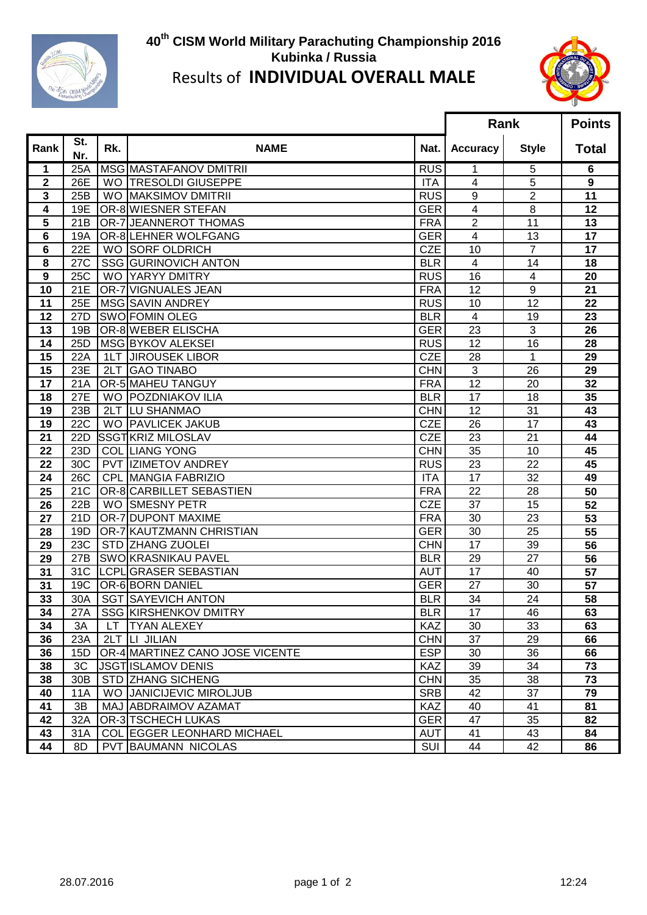

## **th CISM World Military Parachuting Championship 2016 Kubinka / Russia** Results of **INDIVIDUAL OVERALL MALE**



|                  |                  |            |                                   |            | Rank                    |                | <b>Points</b> |
|------------------|------------------|------------|-----------------------------------|------------|-------------------------|----------------|---------------|
| Rank             | St.<br>Nr.       | Rk.        | <b>NAME</b>                       | Nat.       | <b>Accuracy</b>         | <b>Style</b>   | <b>Total</b>  |
| 1                | 25A              |            | MSG MASTAFANOV DMITRII            | <b>RUS</b> | 1                       | 5              | 6             |
| $\mathbf 2$      | 26E              |            | WO TRESOLDI GIUSEPPE              | <b>ITA</b> | $\overline{\mathbf{4}}$ | 5              | 9             |
| 3                | 25B              |            | WO MAKSIMOV DMITRII               | <b>RUS</b> | 9                       | 2              | 11            |
| 4                | 19E              |            | OR-8 WIESNER STEFAN               | <b>GER</b> | 4                       | 8              | 12            |
| 5                | 21B              |            | OR-7 JEANNEROT THOMAS             | <b>FRA</b> | $\overline{2}$          | 11             | 13            |
| 6                | 19A              |            | OR-8 LEHNER WOLFGANG              | <b>GER</b> | $\overline{4}$          | 13             | 17            |
| 6                | 22E              |            | WO SORF OLDRICH                   | <b>CZE</b> | 10                      | $\overline{7}$ | 17            |
| 8                | 27C              |            | SSG GURINOVICH ANTON              | <b>BLR</b> | $\overline{4}$          | 14             | 18            |
| $\boldsymbol{9}$ | 25C              |            | <b>WO YARYY DMITRY</b>            | <b>RUS</b> | 16                      | $\overline{4}$ | 20            |
| 10               | 21E              |            | OR-7 VIGNUALES JEAN               | <b>FRA</b> | 12                      | 9              | 21            |
| 11               | 25E              |            | MSG SAVIN ANDREY                  | <b>RUS</b> | 10                      | 12             | 22            |
| 12               | 27D              |            | <b>SWO FOMIN OLEG</b>             | <b>BLR</b> | $\overline{\mathbf{4}}$ | 19             | 23            |
| 13               | 19B              |            | OR-8 WEBER ELISCHA                | <b>GER</b> | 23                      | 3              | 26            |
| 14               | 25D              |            | MSG BYKOV ALEKSEI                 | <b>RUS</b> | 12                      | 16             | 28            |
| 15               | 22A              | 1LT        | <b>JIROUSEK LIBOR</b>             | <b>CZE</b> | 28                      | 1              | 29            |
| 15               | 23E              | 2LT        | <b>GAO TINABO</b>                 | <b>CHN</b> | 3                       | 26             | 29            |
| 17               | 21A              |            | OR-5 MAHEU TANGUY                 | <b>FRA</b> | 12                      | 20             | 32            |
| 18               | 27E              |            | WO POZDNIAKOV ILIA                | <b>BLR</b> | 17                      | 18             | 35            |
| 19               | 23B              |            | 2LT LU SHANMAO                    | <b>CHN</b> | 12                      | 31             | 43            |
| 19               | $22\overline{C}$ |            | WO PAVLICEK JAKUB                 | <b>CZE</b> | 26                      | 17             | 43            |
| 21               | 22D              |            | SSGTKRIZ MILOSLAV                 | <b>CZE</b> | 23                      | 21             | 44            |
| 22               | 23D              |            | <b>COL LIANG YONG</b>             | <b>CHN</b> | 35                      | 10             | 45            |
| 22               | 30C              |            | PVT IZIMETOV ANDREY               | <b>RUS</b> | 23                      | 22             | 45            |
| 24               | 26C              |            | <b>CPL MANGIA FABRIZIO</b>        | <b>ITA</b> | 17                      | 32             | 49            |
| 25               | 21C              |            | OR-8 CARBILLET SEBASTIEN          | <b>FRA</b> | 22                      | 28             | 50            |
| 26               | 22B              | <b>WO</b>  | <b>SMESNY PETR</b>                | <b>CZE</b> | 37                      | 15             | 52            |
| 27               | 21D              |            | OR-7 DUPONT MAXIME                | <b>FRA</b> | 30                      | 23             | 53            |
| 28               | 19D              |            | OR-7 KAUTZMANN CHRISTIAN          | <b>GER</b> | 30                      | 25             | 55            |
| 29               | 23C              | <b>STD</b> | <b>ZHANG ZUOLEI</b>               | <b>CHN</b> | 17                      | 39             | 56            |
| 29               | 27B              |            | SWO KRASNIKAU PAVEL               | <b>BLR</b> | 29                      | 27             | 56            |
| 31               | 31C              |            | LCPLIGRASER SEBASTIAN             | <b>AUT</b> | 17                      | 40             | 57            |
| 31               | 19C              |            | OR-6 BORN DANIEL                  | <b>GER</b> | 27                      | 30             | 57            |
| 33               | 30A              |            | <b>SGT ISAYEVICH ANTON</b>        | <b>BLR</b> | 34                      | 24             | 58            |
| 34               | 27A              |            | SSG KIRSHENKOV DMITRY             | <b>BLR</b> | 17                      | 46             | 63            |
| 34               | 3A               |            | LT TYAN ALEXEY                    | KAZ        | 30                      | 33             | 63            |
| 36               | 23A              |            | 2LT LI JILIAN                     | <b>CHN</b> | 37                      | 29             | 66            |
| 36               | 15D              |            | OR-4 MARTINEZ CANO JOSE VICENTE   | <b>ESP</b> | 30                      | 36             | 66            |
| 38               | 3C               |            | <b>JSGTISLAMOV DENIS</b>          | KAZ        | 39                      | 34             | 73            |
| 38               | 30B              |            | STD ZHANG SICHENG                 | <b>CHN</b> | 35                      | 38             | 73            |
| 40               | <b>11A</b>       |            | WO JANICIJEVIC MIROLJUB           | <b>SRB</b> | 42                      | 37             | 79            |
| 41               | 3B               |            | MAJ ABDRAIMOV AZAMAT              | <b>KAZ</b> | 40                      | 41             | 81            |
| 42               | 32A              |            | OR-3 TSCHECH LUKAS                | <b>GER</b> | 47                      | 35             | 82            |
| 43               | 31A              |            | <b>COL EGGER LEONHARD MICHAEL</b> | <b>AUT</b> | 41                      | 43             | 84            |
| 44               | 8D               |            | <b>PVT BAUMANN NICOLAS</b>        | SUI        | 44                      | 42             | 86            |